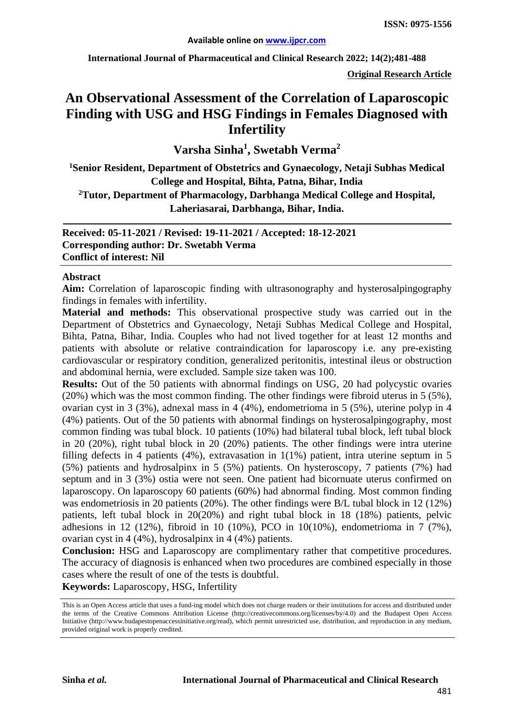**International Journal of Pharmaceutical and Clinical Research 2022; 14(2);481-488**

**Original Research Article**

# **An Observational Assessment of the Correlation of Laparoscopic Finding with USG and HSG Findings in Females Diagnosed with Infertility**

**Varsha Sinha1 , Swetabh Verma<sup>2</sup>**

**1 Senior Resident, Department of Obstetrics and Gynaecology, Netaji Subhas Medical College and Hospital, Bihta, Patna, Bihar, India**

**2 Tutor, Department of Pharmacology, Darbhanga Medical College and Hospital, Laheriasarai, Darbhanga, Bihar, India.**

**Received: 05-11-2021 / Revised: 19-11-2021 / Accepted: 18-12-2021 Corresponding author: Dr. Swetabh Verma Conflict of interest: Nil**

#### **Abstract**

**Aim:** Correlation of laparoscopic finding with ultrasonography and hysterosalpingography findings in females with infertility.

**Material and methods:** This observational prospective study was carried out in the Department of Obstetrics and Gynaecology, Netaji Subhas Medical College and Hospital, Bihta, Patna, Bihar, India. Couples who had not lived together for at least 12 months and patients with absolute or relative contraindication for laparoscopy i.e. any pre-existing cardiovascular or respiratory condition, generalized peritonitis, intestinal ileus or obstruction and abdominal hernia, were excluded. Sample size taken was 100.

**Results:** Out of the 50 patients with abnormal findings on USG, 20 had polycystic ovaries (20%) which was the most common finding. The other findings were fibroid uterus in 5 (5%), ovarian cyst in 3 (3%), adnexal mass in 4 (4%), endometrioma in 5 (5%), uterine polyp in 4 (4%) patients. Out of the 50 patients with abnormal findings on hysterosalpingography, most common finding was tubal block. 10 patients (10%) had bilateral tubal block, left tubal block in 20 (20%), right tubal block in 20 (20%) patients. The other findings were intra uterine filling defects in 4 patients (4%), extravasation in 1(1%) patient, intra uterine septum in 5 (5%) patients and hydrosalpinx in 5 (5%) patients. On hysteroscopy, 7 patients (7%) had septum and in 3 (3%) ostia were not seen. One patient had bicornuate uterus confirmed on laparoscopy. On laparoscopy 60 patients (60%) had abnormal finding. Most common finding was endometriosis in 20 patients (20%). The other findings were B/L tubal block in 12 (12%) patients, left tubal block in 20(20%) and right tubal block in 18 (18%) patients, pelvic adhesions in 12 (12%), fibroid in 10 (10%), PCO in 10(10%), endometrioma in 7 (7%), ovarian cyst in 4 (4%), hydrosalpinx in 4 (4%) patients.

**Conclusion:** HSG and Laparoscopy are complimentary rather that competitive procedures. The accuracy of diagnosis is enhanced when two procedures are combined especially in those cases where the result of one of the tests is doubtful.

**Keywords:** Laparoscopy, HSG, Infertility

This is an Open Access article that uses a fund-ing model which does not charge readers or their institutions for access and distributed under the terms of the Creative Commons Attribution License (http://creativecommons.org/licenses/by/4.0) and the Budapest Open Access Initiative (http://www.budapestopenaccessinitiative.org/read), which permit unrestricted use, distribution, and reproduction in any medium, provided original work is properly credited.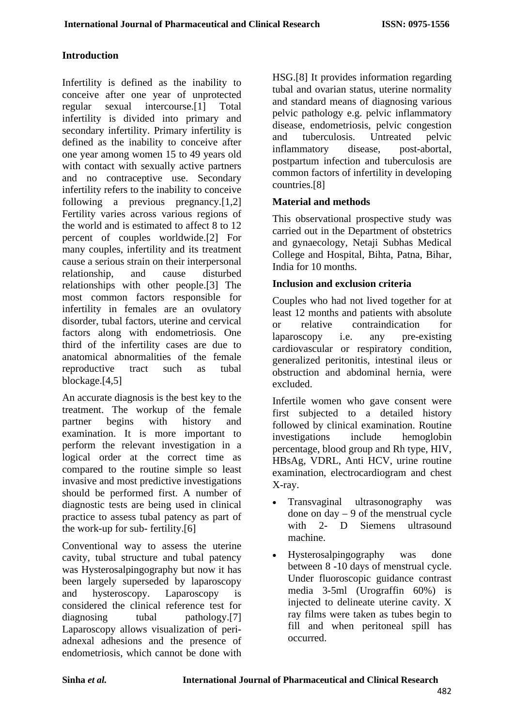#### **Introduction**

Infertility is defined as the inability to conceive after one year of unprotected regular sexual intercourse.[1] Total infertility is divided into primary and secondary infertility. Primary infertility is defined as the inability to conceive after one year among women 15 to 49 years old with contact with sexually active partners and no contraceptive use. Secondary infertility refers to the inability to conceive following a previous pregnancy.[1,2] Fertility varies across various regions of the world and is estimated to affect 8 to 12 percent of couples worldwide.[2] For many couples, infertility and its treatment cause a serious strain on their interpersonal relationship, and cause disturbed relationships with other people.[\[3\]](#page-6-0) The most common factors responsible for infertility in females are an ovulatory disorder, tubal factors, uterine and cervical factors along with endometriosis. One third of the infertility cases are due to anatomical abnormalities of the female reproductive tract such as tubal blockage.[4[,5\]](#page-6-1)

An accurate diagnosis is the best key to the treatment. The workup of the female partner begins with history and examination. It is more important to perform the relevant investigation in a logical order at the correct time as compared to the routine simple so least invasive and most predictive investigations should be performed first. A number of diagnostic tests are being used in clinical practice to assess tubal patency as part of the work-up for sub- fertility.[6]

Conventional way to assess the uterine cavity, tubal structure and tubal patency was Hysterosalpingography but now it has been largely superseded by laparoscopy and hysteroscopy. Laparoscopy is considered the clinical reference test for diagnosing tubal pathology.<sup>[7]</sup> Laparoscopy allows visualization of periadnexal adhesions and the presence of endometriosis, which cannot be done with

HSG.[8] It provides information regarding tubal and ovarian status, uterine normality and standard means of diagnosing various pelvic pathology e.g. pelvic inflammatory disease, endometriosis, pelvic congestion and tuberculosis. Untreated pelvic inflammatory disease, post-abortal, postpartum infection and tuberculosis are common factors of infertility in developing countries.[8]

### **Material and methods**

This observational prospective study was carried out in the Department of obstetrics and gynaecology, Netaji Subhas Medical College and Hospital, Bihta, Patna, Bihar, India for 10 months.

### **Inclusion and exclusion criteria**

Couples who had not lived together for at least 12 months and patients with absolute or relative contraindication for laparoscopy i.e. any pre-existing cardiovascular or respiratory condition, generalized peritonitis, intestinal ileus or obstruction and abdominal hernia, were excluded.

Infertile women who gave consent were first subjected to a detailed history followed by clinical examination. Routine investigations include hemoglobin percentage, blood group and Rh type, HIV, HBsAg, VDRL, Anti HCV, urine routine examination, electrocardiogram and chest X-ray.

- Transvaginal ultrasonography was done on  $day - 9$  of the menstrual cycle with 2- D Siemens ultrasound machine.
- Hysterosalpingography was done between 8 -10 days of menstrual cycle. Under fluoroscopic guidance contrast media 3-5ml (Urograffin 60%) is injected to delineate uterine cavity. X ray films were taken as tubes begin to fill and when peritoneal spill has occurred.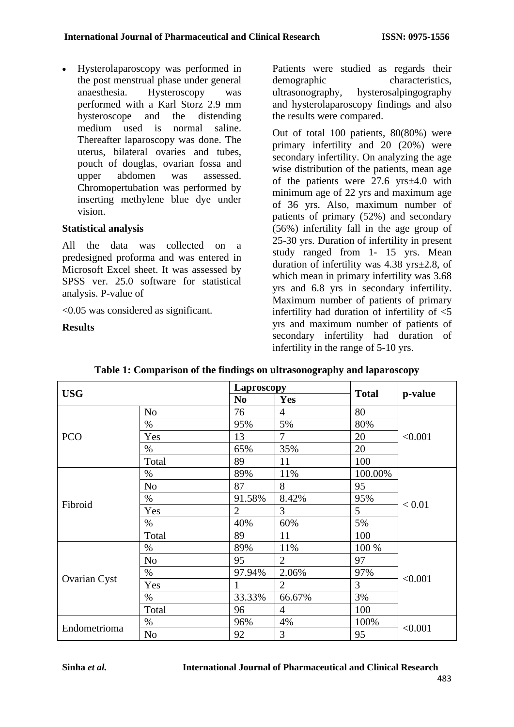• Hysterolaparoscopy was performed in the post menstrual phase under general anaesthesia. Hysteroscopy was performed with a Karl Storz 2.9 mm hysteroscope and the distending medium used is normal saline. Thereafter laparoscopy was done. The uterus, bilateral ovaries and tubes, pouch of douglas, ovarian fossa and upper abdomen was assessed. Chromopertubation was performed by inserting methylene blue dye under vision.

### **Statistical analysis**

All the data was collected on a predesigned proforma and was entered in Microsoft Excel sheet. It was assessed by SPSS ver. 25.0 software for statistical analysis. P-value of

<0.05 was considered as significant.

**Results**

Patients were studied as regards their demographic characteristics,<br>ultrasonography, hysterosalpingography hysterosalpingography and hysterolaparoscopy findings and also the results were compared.

Out of total 100 patients, 80(80%) were primary infertility and 20 (20%) were secondary infertility. On analyzing the age wise distribution of the patients, mean age of the patients were 27.6 yrs±4.0 with minimum age of 22 yrs and maximum age of 36 yrs. Also, maximum number of patients of primary (52%) and secondary (56%) infertility fall in the age group of 25-30 yrs. Duration of infertility in present study ranged from 1- 15 yrs. Mean duration of infertility was 4.38 yrs±2.8, of which mean in primary infertility was  $3.68$ yrs and 6.8 yrs in secondary infertility. Maximum number of patients of primary infertility had duration of infertility of <5 yrs and maximum number of patients of secondary infertility had duration of infertility in the range of 5-10 yrs.

| <b>USG</b>   |                | <b>Laproscopy</b> |                |              |         |  |
|--------------|----------------|-------------------|----------------|--------------|---------|--|
|              |                | N <sub>0</sub>    | Yes            | <b>Total</b> | p-value |  |
|              | N <sub>o</sub> | 76                | $\overline{4}$ | 80           |         |  |
|              | $\%$           | 95%               | 5%             | 80%          |         |  |
| <b>PCO</b>   | Yes            | 13                | $\overline{7}$ | 20           | < 0.001 |  |
|              | $\%$           | 65%               | 35%            | 20           |         |  |
|              | Total          | 89                | 11             | 100          |         |  |
|              | $\%$           | 89%               | 11%            | 100.00%      |         |  |
|              | N <sub>o</sub> | 87                | 8              | 95           |         |  |
| Fibroid      | $\%$           | 91.58%            | 8.42%          | 95%          | < 0.01  |  |
|              | Yes            | $\overline{2}$    | 3              | 5            |         |  |
|              | %              | 40%               | 60%            | 5%           |         |  |
|              | Total          | 89                | 11             | 100          |         |  |
|              | $\%$           | 89%               | 11%            | 100 %        |         |  |
|              | N <sub>o</sub> | 95                | $\overline{2}$ | 97           |         |  |
|              | $\%$           | 97.94%            | 2.06%          | 97%          | < 0.001 |  |
| Ovarian Cyst | Yes            |                   | $\overline{2}$ | 3            |         |  |
|              | $\%$           | 33.33%            | 66.67%         | 3%           |         |  |
|              | Total          | 96                | $\overline{4}$ | 100          |         |  |
| Endometrioma | $\%$           | 96%               | 4%             | 100%         | < 0.001 |  |
|              | N <sub>o</sub> | 92                | 3              | 95           |         |  |

## **Table 1: Comparison of the findings on ultrasonography and laparoscopy**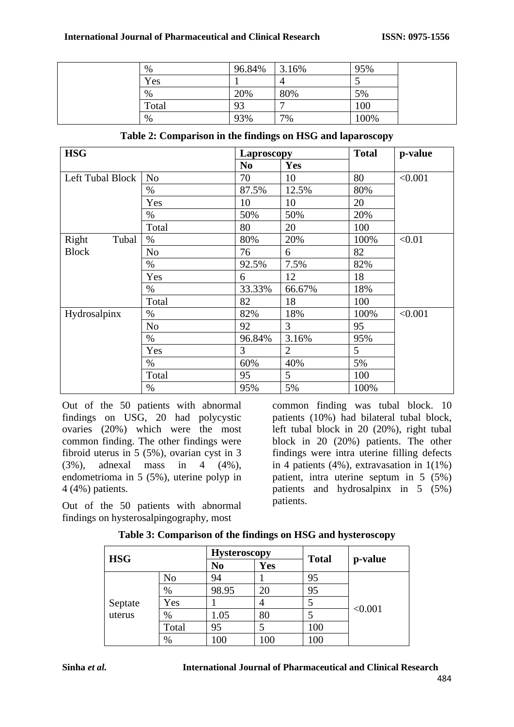| $\%$  | 96.84% | 3.16% | 95%  |  |
|-------|--------|-------|------|--|
| Yes   |        | 4     |      |  |
| $\%$  | 20%    | 80%   | 5%   |  |
| Total | 93     |       | 100  |  |
| $\%$  | 93%    | 7%    | 100% |  |

| <b>HSG</b>       |                | <b>Laproscopy</b> |                | <b>Total</b> | p-value |
|------------------|----------------|-------------------|----------------|--------------|---------|
|                  |                | N <sub>0</sub>    | Yes            |              |         |
| Left Tubal Block | N <sub>o</sub> | 70                | 10             | 80           | < 0.001 |
|                  | $\%$           | 87.5%             | 12.5%          | 80%          |         |
|                  | Yes            | 10                | 10             | 20           |         |
|                  | $\%$           | 50%               | 50%            | 20%          |         |
|                  | Total          | 80                | 20             | 100          |         |
| Right<br>Tubal   | $\%$           | 80%               | 20%            | 100%         | < 0.01  |
| <b>Block</b>     | N <sub>o</sub> | 76                | 6              | 82           |         |
|                  | $\%$           | 92.5%             | 7.5%           | 82%          |         |
|                  | Yes            | 6                 | 12             | 18           |         |
|                  | $\%$           | 33.33%            | 66.67%         | 18%          |         |
|                  | Total          | 82                | 18             | 100          |         |
| Hydrosalpinx     | $\%$           | 82%               | 18%            | 100%         | < 0.001 |
|                  | N <sub>o</sub> | 92                | 3              | 95           |         |
|                  | $\%$           | 96.84%            | 3.16%          | 95%          |         |
|                  | Yes            | 3                 | $\overline{2}$ | 5            |         |
|                  | %              | 60%               | 40%            | 5%           |         |
|                  | Total          | 95                | 5              | 100          |         |
|                  | $\%$           | 95%               | 5%             | 100%         |         |

| Table 2: Comparison in the findings on HSG and laparoscopy |  |  |
|------------------------------------------------------------|--|--|
|                                                            |  |  |

Out of the 50 patients with abnormal findings on USG, 20 had polycystic ovaries (20%) which were the most common finding. The other findings were fibroid uterus in 5 (5%), ovarian cyst in 3 (3%), adnexal mass in 4 (4%), endometrioma in 5 (5%), uterine polyp in 4 (4%) patients.

Out of the 50 patients with abnormal findings on hysterosalpingography, most

common finding was tubal block. 10 patients (10%) had bilateral tubal block, left tubal block in 20 (20%), right tubal block in 20 (20%) patients. The other findings were intra uterine filling defects in 4 patients (4%), extravasation in 1(1%) patient, intra uterine septum in 5 (5%) patients and hydrosalpinx in 5 (5%) patients.

| <b>HSG</b>        |       |       | <b>Hysteroscopy</b> |              |         |
|-------------------|-------|-------|---------------------|--------------|---------|
|                   |       | No    | Yes                 | <b>Total</b> | p-value |
|                   | No    | 94    |                     | 95           |         |
| Septate<br>uterus | $\%$  | 98.95 | 20                  | 95           |         |
|                   | Yes   |       |                     |              |         |
|                   | %     | 1.05  | 80                  |              | < 0.001 |
|                   | Total | 95    |                     | 100          |         |
|                   | %     | 100   | 100                 | 100          |         |

|  |  | Table 3: Comparison of the findings on HSG and hysteroscopy |  |  |
|--|--|-------------------------------------------------------------|--|--|
|--|--|-------------------------------------------------------------|--|--|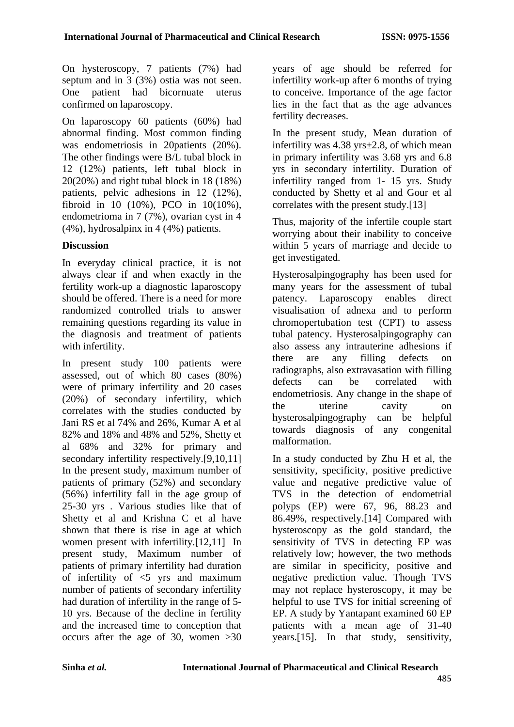On hysteroscopy, 7 patients (7%) had septum and in 3 (3%) ostia was not seen. One patient had bicornuate uterus confirmed on laparoscopy.

On laparoscopy 60 patients (60%) had abnormal finding. Most common finding was endometriosis in 20patients (20%). The other findings were B/L tubal block in 12 (12%) patients, left tubal block in 20(20%) and right tubal block in 18 (18%) patients, pelvic adhesions in 12 (12%), fibroid in 10 (10%), PCO in 10(10%), endometrioma in 7 (7%), ovarian cyst in 4 (4%), hydrosalpinx in 4 (4%) patients.

# **Discussion**

In everyday clinical practice, it is not always clear if and when exactly in the fertility work-up a diagnostic laparoscopy should be offered. There is a need for more randomized controlled trials to answer remaining questions regarding its value in the diagnosis and treatment of patients with infertility.

In present study 100 patients were assessed, out of which 80 cases (80%) were of primary infertility and 20 cases (20%) of secondary infertility, which correlates with the studies conducted by Jani RS et al 74% and 26%, Kumar A et al 82% and 18% and 48% and 52%, Shetty et al 68% and 32% for primary and secondary infertility respectively.[9,10,11] In the present study, maximum number of patients of primary (52%) and secondary (56%) infertility fall in the age group of 25-30 yrs . Various studies like that of Shetty et al and Krishna C et al have shown that there is rise in age at which women present with infertility.[12,11] In present study, Maximum number of patients of primary infertility had duration of infertility of  $\leq$  yrs and maximum number of patients of secondary infertility had duration of infertility in the range of 5- 10 yrs. Because of the decline in fertility and the increased time to conception that occurs after the age of 30, women >30

years of age should be referred for infertility work-up after 6 months of trying to conceive. Importance of the age factor lies in the fact that as the age advances fertility decreases.

In the present study, Mean duration of infertility was 4.38 yrs±2.8, of which mean in primary infertility was 3.68 yrs and 6.8 yrs in secondary infertility. Duration of infertility ranged from 1- 15 yrs. Study conducted by Shetty et al and Gour et al correlates with the present study.[13]

Thus, majority of the infertile couple start worrying about their inability to conceive within 5 years of marriage and decide to get investigated.

Hysterosalpingography has been used for many years for the assessment of tubal patency. Laparoscopy enables direct visualisation of adnexa and to perform chromopertubation test (CPT) to assess tubal patency. Hysterosalpingography can also assess any intrauterine adhesions if there are any filling defects on radiographs, also extravasation with filling defects can be correlated with endometriosis. Any change in the shape of the uterine cavity on hysterosalpingography can be helpful towards diagnosis of any congenital malformation.

In a study conducted by Zhu H et al, the sensitivity, specificity, positive predictive value and negative predictive value of TVS in the detection of endometrial polyps (EP) were 67, 96, 88.23 and 86.49%, respectively.[14] Compared with hysteroscopy as the gold standard, the sensitivity of TVS in detecting EP was relatively low; however, the two methods are similar in specificity, positive and negative prediction value. Though TVS may not replace hysteroscopy, it may be helpful to use TVS for initial screening of EP. A study by Yantapant examined 60 EP patients with a mean age of 31-40 years.[15]. In that study, sensitivity,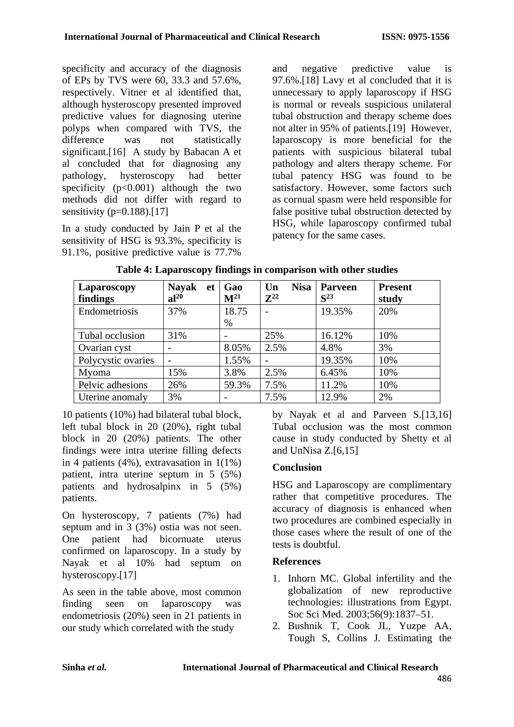specificity and accuracy of the diagnosis of EPs by TVS were 60, 33.3 and 57.6%, respectively. Vitner et al identified that, although hysteroscopy presented improved predictive values for diagnosing uterine polyps when compared with TVS, the difference was not statistically significant.[16] A study by Babacan A et al concluded that for diagnosing any pathology, hysteroscopy had better specificity  $(p<0.001)$  although the two methods did not differ with regard to sensitivity  $(p=0.188)$ .[17]

In a study conducted by Jain P et al the sensitivity of HSG is 93.3%, specificity is 91.1%, positive predictive value is 77.7%

and negative predictive value is 97.6%.[18] Lavy et al concluded that it is unnecessary to apply laparoscopy if HSG is normal or reveals suspicious unilateral tubal obstruction and therapy scheme does not alter in 95% of patients.[19] However, laparoscopy is more beneficial for the patients with suspicious bilateral tubal pathology and alters therapy scheme. For tubal patency HSG was found to be satisfactory. However, some factors such as cornual spasm were held responsible for false positive tubal obstruction detected by HSG, while laparoscopy confirmed tubal patency for the same cases.

| Laparoscopy        | <b>Nayak</b><br>et | Gao<br>$\mathbf{M}^{21}$ | <b>Nisa</b><br>Un<br>$\mathbb{Z}^{22}$ | <b>Parveen</b> | <b>Present</b> |
|--------------------|--------------------|--------------------------|----------------------------------------|----------------|----------------|
| findings           | $al^{20}$          |                          |                                        | $S^{23}$       | study          |
| Endometriosis      | 37%                | 18.75                    |                                        | 19.35%         | 20%            |
|                    |                    | $\%$                     |                                        |                |                |
| Tubal occlusion    | 31%                |                          | 25%                                    | 16.12%         | 10%            |
| Ovarian cyst       |                    | 8.05%                    | 2.5%                                   | 4.8%           | 3%             |
| Polycystic ovaries |                    | 1.55%                    |                                        | 19.35%         | 10%            |
| Myoma              | 15%                | 3.8%                     | 2.5%                                   | 6.45%          | 10%            |
| Pelvic adhesions   | 26%                | 59.3%                    | 7.5%                                   | 11.2%          | 10%            |
| Uterine anomaly    | 3%                 |                          | 7.5%                                   | 12.9%          | 2%             |

**Table 4: Laparoscopy findings in comparison with other studies**

10 patients (10%) had bilateral tubal block, left tubal block in 20 (20%), right tubal block in 20 (20%) patients. The other findings were intra uterine filling defects in 4 patients (4%), extravasation in 1(1%) patient, intra uterine septum in 5 (5%) patients and hydrosalpinx in 5 (5%) patients.

On hysteroscopy, 7 patients (7%) had septum and in 3 (3%) ostia was not seen. One patient had bicornuate uterus confirmed on laparoscopy. In a study by Nayak et al 10% had septum on hysteroscopy.[17]

As seen in the table above, most common finding seen on laparoscopy was endometriosis (20%) seen in 21 patients in our study which correlated with the study

by Nayak et al and Parveen S.[13,16] Tubal occlusion was the most common cause in study conducted by Shetty et al and UnNisa Z.[6,15]

# **Conclusion**

HSG and Laparoscopy are complimentary rather that competitive procedures. The accuracy of diagnosis is enhanced when two procedures are combined especially in those cases where the result of one of the tests is doubtful.

# **References**

- 1. Inhorn MC. Global infertility and the globalization of new reproductive technologies: illustrations from Egypt. Soc Sci Med. 2003;56(9):1837–51.
- 2. Bushnik T, Cook JL, Yuzpe AA, Tough S, Collins J. Estimating the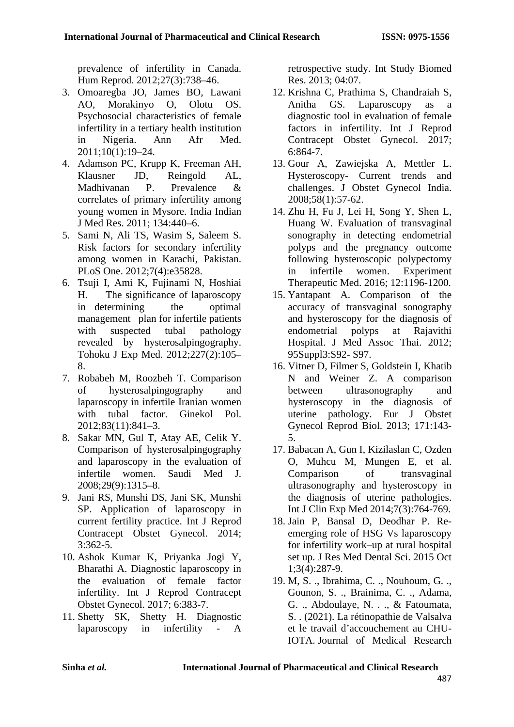<span id="page-6-0"></span>prevalence of infertility in Canada. Hum Reprod. 2012;27(3):738–46.

- 3. Omoaregba JO, James BO, Lawani AO, Morakinyo O, Olotu OS. Psychosocial characteristics of female infertility in a tertiary health institution in Nigeria. Ann Afr Med. 2011;10(1):19–24.
- 4. Adamson PC, Krupp K, Freeman AH, Klausner JD, Reingold AL, Madhivanan P. Prevalence & correlates of primary infertility among young women in Mysore. India Indian J Med Res. 2011; 134:440–6.
- 5. Sami N, Ali TS, Wasim S, Saleem S. Risk factors for secondary infertility among women in Karachi, Pakistan. PLoS One. 2012;7(4):e35828.
- 6. Tsuji I, Ami K, Fujinami N, Hoshiai H. The significance of laparoscopy in determining the optimal management plan for infertile patients with suspected tubal pathology revealed by hysterosalpingography. Tohoku J Exp Med. 2012;227(2):105– 8.
- 7. Robabeh M, Roozbeh T. Comparison of hysterosalpingography and laparoscopy in infertile Iranian women with tubal factor. Ginekol Pol. 2012;83(11):841–3.
- 8. Sakar MN, Gul T, Atay AE, Celik Y. Comparison of hysterosalpingography and laparoscopy in the evaluation of infertile women. Saudi Med J. 2008;29(9):1315–8.
- 9. Jani RS, Munshi DS, Jani SK, Munshi SP. Application of laparoscopy in current fertility practice. Int J Reprod Contracept Obstet Gynecol. 2014; 3:362-5.
- 10. Ashok Kumar K, Priyanka Jogi Y, Bharathi A. Diagnostic laparoscopy in the evaluation of female factor infertility. Int J Reprod Contracept Obstet Gynecol. 2017; 6:383-7.
- 11. Shetty SK, Shetty H. Diagnostic laparoscopy in infertility - A

retrospective study. Int Study Biomed Res. 2013; 04:07.

- 12. Krishna C, Prathima S, Chandraiah S, Anitha GS. Laparoscopy as a diagnostic tool in evaluation of female factors in infertility. Int J Reprod Contracept Obstet Gynecol. 2017; 6:864-7.
- 13. Gour A, Zawiejska A, Mettler L. Hysteroscopy- Current trends and challenges. J Obstet Gynecol India. 2008;58(1):57-62.
- <span id="page-6-1"></span>14. Zhu H, Fu J, Lei H, Song Y, Shen L, Huang W. Evaluation of transvaginal sonography in detecting endometrial polyps and the pregnancy outcome following hysteroscopic polypectomy<br>in infertile women. Experiment in infertile women. Experiment Therapeutic Med. 2016; 12:1196-1200.
- 15. Yantapant A. Comparison of the accuracy of transvaginal sonography and hysteroscopy for the diagnosis of endometrial polyps at Rajavithi Hospital. J Med Assoc Thai. 2012; 95Suppl3:S92- S97.
- 16. Vitner D, Filmer S, Goldstein I, Khatib N and Weiner Z. A comparison between ultrasonography and hysteroscopy in the diagnosis of uterine pathology. Eur J Obstet Gynecol Reprod Biol. 2013; 171:143- 5.
- 17. Babacan A, Gun I, Kizilaslan C, Ozden O, Muhcu M, Mungen E, et al. Comparison of transvaginal ultrasonography and hysteroscopy in the diagnosis of uterine pathologies. Int J Clin Exp Med 2014;7(3):764-769.
- 18. Jain P, Bansal D, Deodhar P. Reemerging role of HSG Vs laparoscopy for infertility work–up at rural hospital set up. J Res Med Dental Sci. 2015 Oct 1;3(4):287-9.
- 19. M, S. ., Ibrahima, C. ., Nouhoum, G. ., Gounon, S. ., Brainima, C. ., Adama, G. ., Abdoulaye, N. . ., & Fatoumata, S. . (2021). La rétinopathie de Valsalva et le travail d'accouchement au CHU-IOTA. Journal of Medical Research